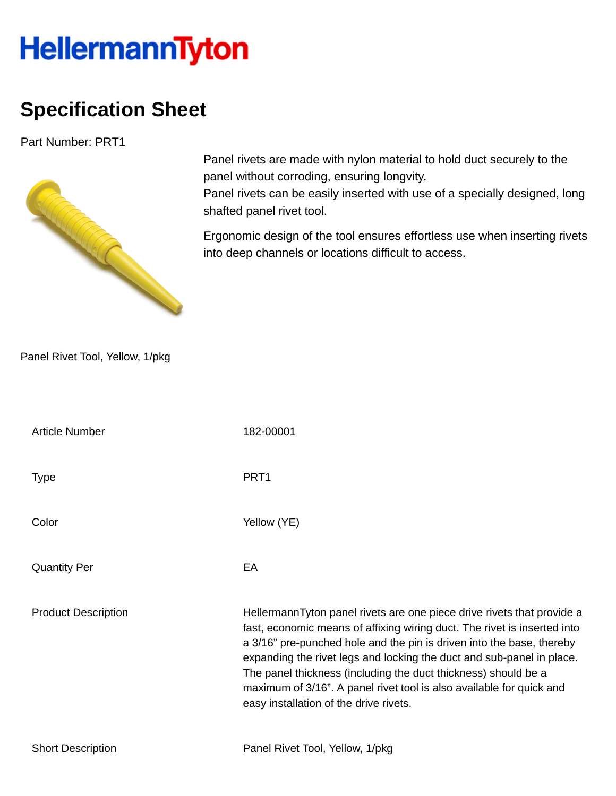## **HellermannTyton**

## **Specification Sheet**

Part Number: PRT1



Panel rivets are made with nylon material to hold duct securely to the panel without corroding, ensuring longvity.

Panel rivets can be easily inserted with use of a specially designed, long shafted panel rivet tool.

Ergonomic design of the tool ensures effortless use when inserting rivets into deep channels or locations difficult to access.

Panel Rivet Tool, Yellow, 1/pkg

| <b>Article Number</b>      | 182-00001                                                                                                                                                                                                                                                                                                                                                                                                                                                                                |
|----------------------------|------------------------------------------------------------------------------------------------------------------------------------------------------------------------------------------------------------------------------------------------------------------------------------------------------------------------------------------------------------------------------------------------------------------------------------------------------------------------------------------|
| <b>Type</b>                | PRT <sub>1</sub>                                                                                                                                                                                                                                                                                                                                                                                                                                                                         |
| Color                      | Yellow (YE)                                                                                                                                                                                                                                                                                                                                                                                                                                                                              |
| <b>Quantity Per</b>        | EA                                                                                                                                                                                                                                                                                                                                                                                                                                                                                       |
| <b>Product Description</b> | HellermannTyton panel rivets are one piece drive rivets that provide a<br>fast, economic means of affixing wiring duct. The rivet is inserted into<br>a 3/16" pre-punched hole and the pin is driven into the base, thereby<br>expanding the rivet legs and locking the duct and sub-panel in place.<br>The panel thickness (including the duct thickness) should be a<br>maximum of 3/16". A panel rivet tool is also available for quick and<br>easy installation of the drive rivets. |
| <b>Short Description</b>   | Panel Rivet Tool, Yellow, 1/pkg                                                                                                                                                                                                                                                                                                                                                                                                                                                          |